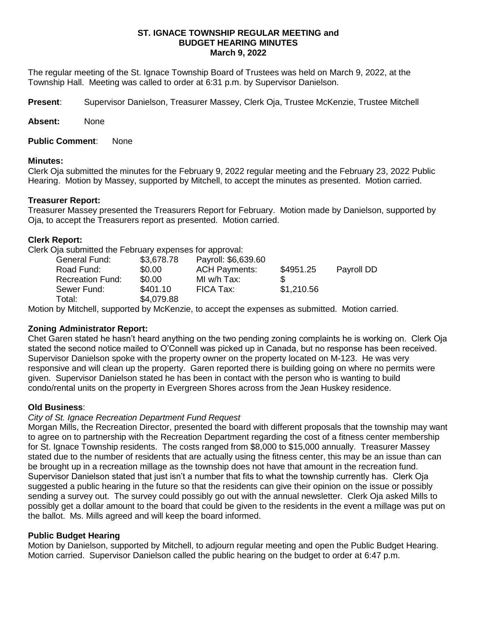### **ST. IGNACE TOWNSHIP REGULAR MEETING and BUDGET HEARING MINUTES March 9, 2022**

The regular meeting of the St. Ignace Township Board of Trustees was held on March 9, 2022, at the Township Hall. Meeting was called to order at 6:31 p.m. by Supervisor Danielson.

**Present**: Supervisor Danielson, Treasurer Massey, Clerk Oja, Trustee McKenzie, Trustee Mitchell

**Absent:** None

**Public Comment**: None

## **Minutes:**

Clerk Oja submitted the minutes for the February 9, 2022 regular meeting and the February 23, 2022 Public Hearing. Motion by Massey, supported by Mitchell, to accept the minutes as presented. Motion carried.

# **Treasurer Report:**

Treasurer Massey presented the Treasurers Report for February. Motion made by Danielson, supported by Oja, to accept the Treasurers report as presented. Motion carried.

## **Clerk Report:**

Clerk Oja submitted the February expenses for approval:

| \$0.00     |            |                                                                         | Payroll DD              |
|------------|------------|-------------------------------------------------------------------------|-------------------------|
| \$0.00     |            |                                                                         |                         |
| \$401.10   |            |                                                                         |                         |
| \$4,079.88 |            |                                                                         |                         |
|            | \$3,678.78 | Payroll: \$6,639.60<br><b>ACH Payments:</b><br>MI w/h Tax:<br>FICA Tax: | \$4951.25<br>\$1,210.56 |

Motion by Mitchell, supported by McKenzie, to accept the expenses as submitted. Motion carried.

# **Zoning Administrator Report:**

Chet Garen stated he hasn't heard anything on the two pending zoning complaints he is working on. Clerk Oja stated the second notice mailed to O'Connell was picked up in Canada, but no response has been received. Supervisor Danielson spoke with the property owner on the property located on M-123. He was very responsive and will clean up the property. Garen reported there is building going on where no permits were given. Supervisor Danielson stated he has been in contact with the person who is wanting to build condo/rental units on the property in Evergreen Shores across from the Jean Huskey residence.

# **Old Business**:

# *City of St. Ignace Recreation Department Fund Request*

Morgan Mills, the Recreation Director, presented the board with different proposals that the township may want to agree on to partnership with the Recreation Department regarding the cost of a fitness center membership for St. Ignace Township residents. The costs ranged from \$8,000 to \$15,000 annually. Treasurer Massey stated due to the number of residents that are actually using the fitness center, this may be an issue than can be brought up in a recreation millage as the township does not have that amount in the recreation fund. Supervisor Danielson stated that just isn't a number that fits to what the township currently has. Clerk Oja suggested a public hearing in the future so that the residents can give their opinion on the issue or possibly sending a survey out. The survey could possibly go out with the annual newsletter. Clerk Oja asked Mills to possibly get a dollar amount to the board that could be given to the residents in the event a millage was put on the ballot. Ms. Mills agreed and will keep the board informed.

# **Public Budget Hearing**

Motion by Danielson, supported by Mitchell, to adjourn regular meeting and open the Public Budget Hearing. Motion carried. Supervisor Danielson called the public hearing on the budget to order at 6:47 p.m.